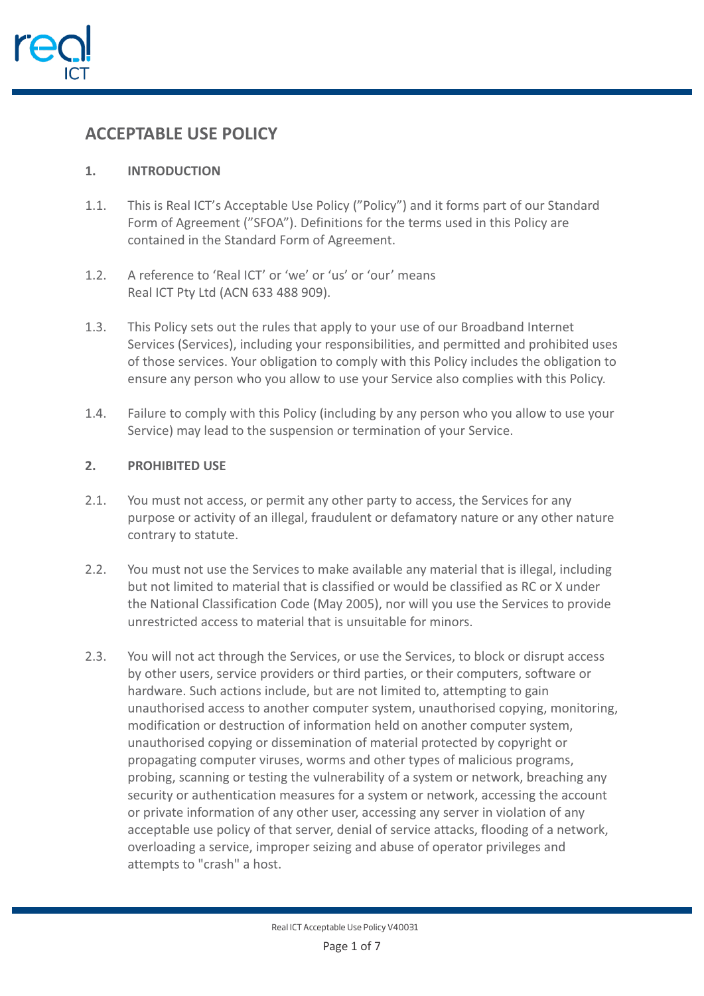

# **ACCEPTABLE USE POLICY**

# **1. INTRODUCTION**

- 1.1. This is Real ICT's Acceptable Use Policy ("Policy") and it forms part of our Standard Form of Agreement ("SFOA"). Definitions for the terms used in this Policy are contained in the Standard Form of Agreement.
- 1.2. A reference to 'Real ICT' or 'we' or 'us' or 'our' means Real ICT Pty Ltd (ACN 633 488 909).
- 1.3. This Policy sets out the rules that apply to your use of our Broadband Internet Services (Services), including your responsibilities, and permitted and prohibited uses of those services. Your obligation to comply with this Policy includes the obligation to ensure any person who you allow to use your Service also complies with this Policy.
- 1.4. Failure to comply with this Policy (including by any person who you allow to use your Service) may lead to the suspension or termination of your Service.

## **2. PROHIBITED USE**

- 2.1. You must not access, or permit any other party to access, the Services for any purpose or activity of an illegal, fraudulent or defamatory nature or any other nature contrary to statute.
- 2.2. You must not use the Services to make available any material that is illegal, including but not limited to material that is classified or would be classified as RC or X under the National Classification Code (May 2005), nor will you use the Services to provide unrestricted access to material that is unsuitable for minors.
- 2.3. You will not act through the Services, or use the Services, to block or disrupt access by other users, service providers or third parties, or their computers, software or hardware. Such actions include, but are not limited to, attempting to gain unauthorised access to another computer system, unauthorised copying, monitoring, modification or destruction of information held on another computer system, unauthorised copying or dissemination of material protected by copyright or propagating computer viruses, worms and other types of malicious programs, probing, scanning or testing the vulnerability of a system or network, breaching any security or authentication measures for a system or network, accessing the account or private information of any other user, accessing any server in violation of any acceptable use policy of that server, denial of service attacks, flooding of a network, overloading a service, improper seizing and abuse of operator privileges and attempts to "crash" a host.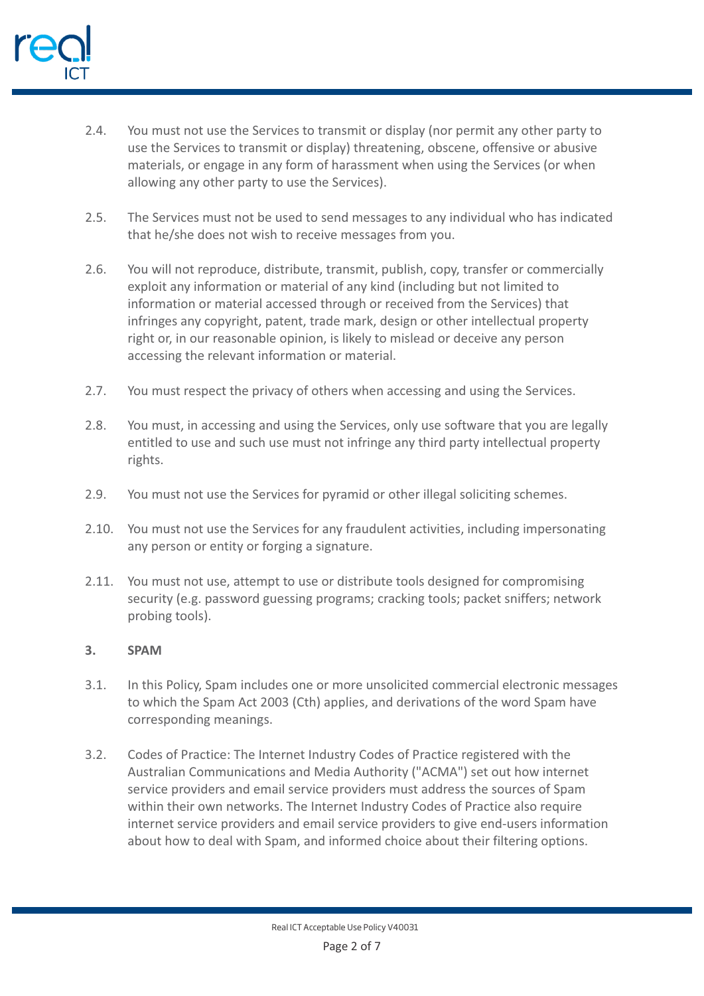

- 2.4. You must not use the Services to transmit or display (nor permit any other party to use the Services to transmit or display) threatening, obscene, offensive or abusive materials, or engage in any form of harassment when using the Services (or when allowing any other party to use the Services).
- 2.5. The Services must not be used to send messages to any individual who has indicated that he/she does not wish to receive messages from you.
- 2.6. You will not reproduce, distribute, transmit, publish, copy, transfer or commercially exploit any information or material of any kind (including but not limited to information or material accessed through or received from the Services) that infringes any copyright, patent, trade mark, design or other intellectual property right or, in our reasonable opinion, is likely to mislead or deceive any person accessing the relevant information or material.
- 2.7. You must respect the privacy of others when accessing and using the Services.
- 2.8. You must, in accessing and using the Services, only use software that you are legally entitled to use and such use must not infringe any third party intellectual property rights.
- 2.9. You must not use the Services for pyramid or other illegal soliciting schemes.
- 2.10. You must not use the Services for any fraudulent activities, including impersonating any person or entity or forging a signature.
- 2.11. You must not use, attempt to use or distribute tools designed for compromising security (e.g. password guessing programs; cracking tools; packet sniffers; network probing tools).

#### **3. SPAM**

- 3.1. In this Policy, Spam includes one or more unsolicited commercial electronic messages to which the Spam Act 2003 (Cth) applies, and derivations of the word Spam have corresponding meanings.
- 3.2. Codes of Practice: The Internet Industry Codes of Practice registered with the Australian Communications and Media Authority ("ACMA") set out how internet service providers and email service providers must address the sources of Spam within their own networks. The Internet Industry Codes of Practice also require internet service providers and email service providers to give end-users information about how to deal with Spam, and informed choice about their filtering options.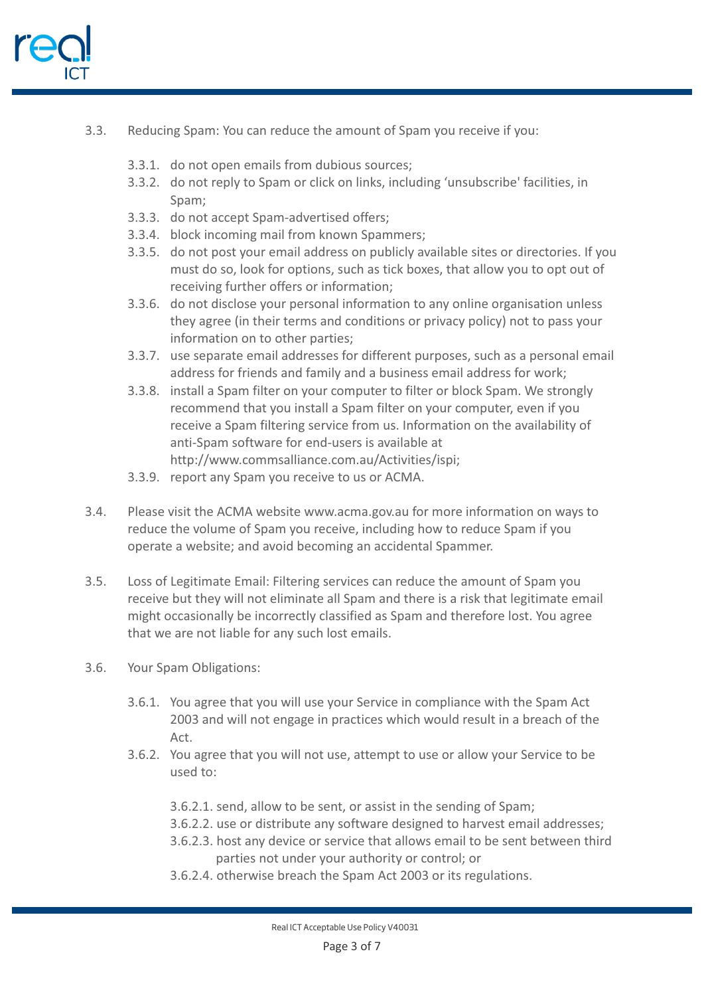

- 3.3. Reducing Spam: You can reduce the amount of Spam you receive if you:
	- 3.3.1. do not open emails from dubious sources;
	- 3.3.2. do not reply to Spam or click on links, including 'unsubscribe' facilities, in Spam;
	- 3.3.3. do not accept Spam-advertised offers;
	- 3.3.4. block incoming mail from known Spammers;
	- 3.3.5. do not post your email address on publicly available sites or directories. If you must do so, look for options, such as tick boxes, that allow you to opt out of receiving further offers or information;
	- 3.3.6. do not disclose your personal information to any online organisation unless they agree (in their terms and conditions or privacy policy) not to pass your information on to other parties;
	- 3.3.7. use separate email addresses for different purposes, such as a personal email address for friends and family and a business email address for work;
	- 3.3.8. install a Spam filter on your computer to filter or block Spam. We strongly recommend that you install a Spam filter on your computer, even if you receive a Spam filtering service from us. Information on the availability of anti-Spam software for end-users is available at http://www.commsalliance.com.au/Activities/ispi;
	- 3.3.9. report any Spam you receive to us or ACMA.
- 3.4. Please visit the ACMA website www.acma.gov.au for more information on ways to reduce the volume of Spam you receive, including how to reduce Spam if you operate a website; and avoid becoming an accidental Spammer.
- 3.5. Loss of Legitimate Email: Filtering services can reduce the amount of Spam you receive but they will not eliminate all Spam and there is a risk that legitimate email might occasionally be incorrectly classified as Spam and therefore lost. You agree that we are not liable for any such lost emails.
- 3.6. Your Spam Obligations:
	- 3.6.1. You agree that you will use your Service in compliance with the Spam Act 2003 and will not engage in practices which would result in a breach of the Act.
	- 3.6.2. You agree that you will not use, attempt to use or allow your Service to be used to:
		- 3.6.2.1. send, allow to be sent, or assist in the sending of Spam;
		- 3.6.2.2. use or distribute any software designed to harvest email addresses;
		- 3.6.2.3. host any device or service that allows email to be sent between third parties not under your authority or control; or
		- 3.6.2.4. otherwise breach the Spam Act 2003 or its regulations.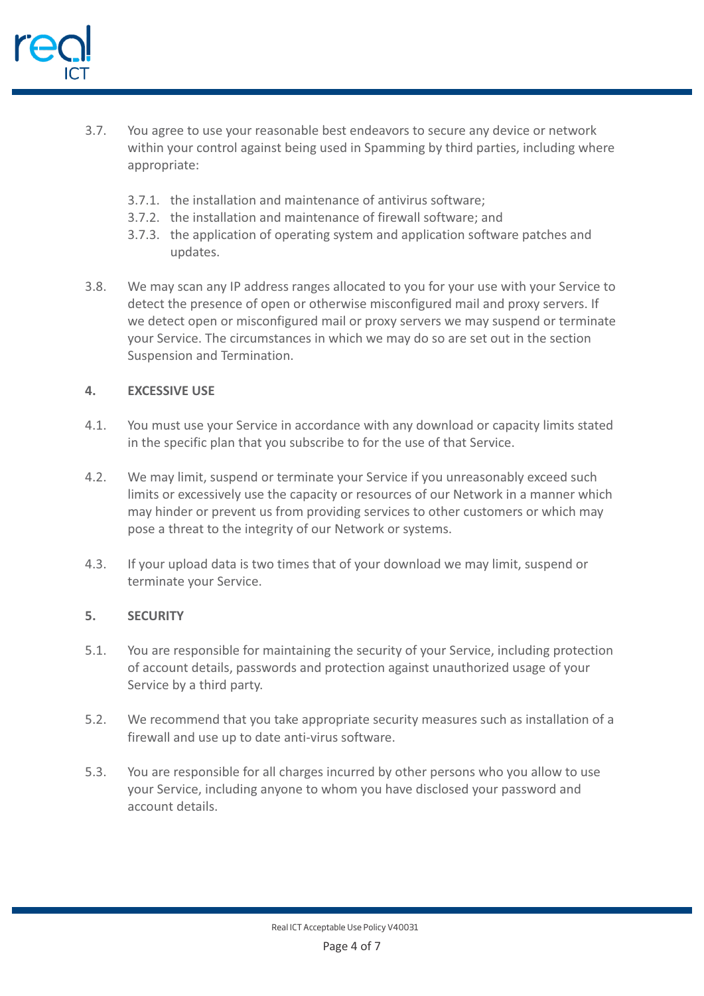

- 3.7. You agree to use your reasonable best endeavors to secure any device or network within your control against being used in Spamming by third parties, including where appropriate:
	- 3.7.1. the installation and maintenance of antivirus software;
	- 3.7.2. the installation and maintenance of firewall software; and
	- 3.7.3. the application of operating system and application software patches and updates.
- 3.8. We may scan any IP address ranges allocated to you for your use with your Service to detect the presence of open or otherwise misconfigured mail and proxy servers. If we detect open or misconfigured mail or proxy servers we may suspend or terminate your Service. The circumstances in which we may do so are set out in the section Suspension and Termination.

## **4. EXCESSIVE USE**

- 4.1. You must use your Service in accordance with any download or capacity limits stated in the specific plan that you subscribe to for the use of that Service.
- 4.2. We may limit, suspend or terminate your Service if you unreasonably exceed such limits or excessively use the capacity or resources of our Network in a manner which may hinder or prevent us from providing services to other customers or which may pose a threat to the integrity of our Network or systems.
- 4.3. If your upload data is two times that of your download we may limit, suspend or terminate your Service.

#### **5. SECURITY**

- 5.1. You are responsible for maintaining the security of your Service, including protection of account details, passwords and protection against unauthorized usage of your Service by a third party.
- 5.2. We recommend that you take appropriate security measures such as installation of a firewall and use up to date anti-virus software.
- 5.3. You are responsible for all charges incurred by other persons who you allow to use your Service, including anyone to whom you have disclosed your password and account details.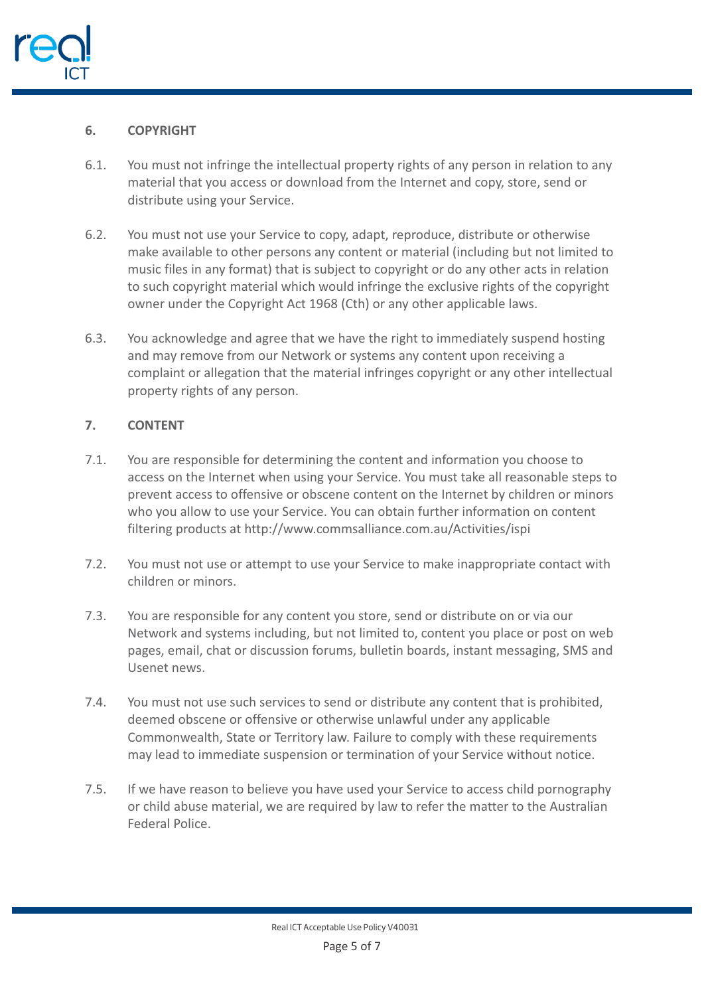

## **6. COPYRIGHT**

- 6.1. You must not infringe the intellectual property rights of any person in relation to any material that you access or download from the Internet and copy, store, send or distribute using your Service.
- 6.2. You must not use your Service to copy, adapt, reproduce, distribute or otherwise make available to other persons any content or material (including but not limited to music files in any format) that is subject to copyright or do any other acts in relation to such copyright material which would infringe the exclusive rights of the copyright owner under the Copyright Act 1968 (Cth) or any other applicable laws.
- 6.3. You acknowledge and agree that we have the right to immediately suspend hosting and may remove from our Network or systems any content upon receiving a complaint or allegation that the material infringes copyright or any other intellectual property rights of any person.

# **7. CONTENT**

- 7.1. You are responsible for determining the content and information you choose to access on the Internet when using your Service. You must take all reasonable steps to prevent access to offensive or obscene content on the Internet by children or minors who you allow to use your Service. You can obtain further information on content filtering products at http://www.commsalliance.com.au/Activities/ispi
- 7.2. You must not use or attempt to use your Service to make inappropriate contact with children or minors.
- 7.3. You are responsible for any content you store, send or distribute on or via our Network and systems including, but not limited to, content you place or post on web pages, email, chat or discussion forums, bulletin boards, instant messaging, SMS and Usenet news.
- 7.4. You must not use such services to send or distribute any content that is prohibited, deemed obscene or offensive or otherwise unlawful under any applicable Commonwealth, State or Territory law. Failure to comply with these requirements may lead to immediate suspension or termination of your Service without notice.
- 7.5. If we have reason to believe you have used your Service to access child pornography or child abuse material, we are required by law to refer the matter to the Australian Federal Police.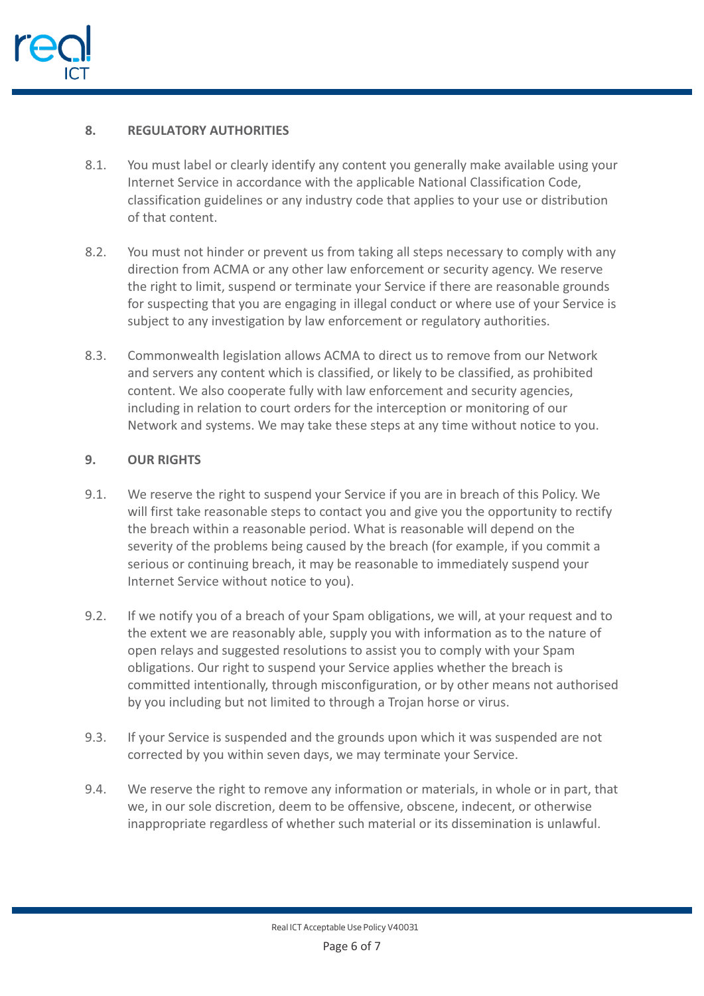

# **8. REGULATORY AUTHORITIES**

- 8.1. You must label or clearly identify any content you generally make available using your Internet Service in accordance with the applicable National Classification Code, classification guidelines or any industry code that applies to your use or distribution of that content.
- 8.2. You must not hinder or prevent us from taking all steps necessary to comply with any direction from ACMA or any other law enforcement or security agency. We reserve the right to limit, suspend or terminate your Service if there are reasonable grounds for suspecting that you are engaging in illegal conduct or where use of your Service is subject to any investigation by law enforcement or regulatory authorities.
- 8.3. Commonwealth legislation allows ACMA to direct us to remove from our Network and servers any content which is classified, or likely to be classified, as prohibited content. We also cooperate fully with law enforcement and security agencies, including in relation to court orders for the interception or monitoring of our Network and systems. We may take these steps at any time without notice to you.

## **9. OUR RIGHTS**

- 9.1. We reserve the right to suspend your Service if you are in breach of this Policy. We will first take reasonable steps to contact you and give you the opportunity to rectify the breach within a reasonable period. What is reasonable will depend on the severity of the problems being caused by the breach (for example, if you commit a serious or continuing breach, it may be reasonable to immediately suspend your Internet Service without notice to you).
- 9.2. If we notify you of a breach of your Spam obligations, we will, at your request and to the extent we are reasonably able, supply you with information as to the nature of open relays and suggested resolutions to assist you to comply with your Spam obligations. Our right to suspend your Service applies whether the breach is committed intentionally, through misconfiguration, or by other means not authorised by you including but not limited to through a Trojan horse or virus.
- 9.3. If your Service is suspended and the grounds upon which it was suspended are not corrected by you within seven days, we may terminate your Service.
- 9.4. We reserve the right to remove any information or materials, in whole or in part, that we, in our sole discretion, deem to be offensive, obscene, indecent, or otherwise inappropriate regardless of whether such material or its dissemination is unlawful.